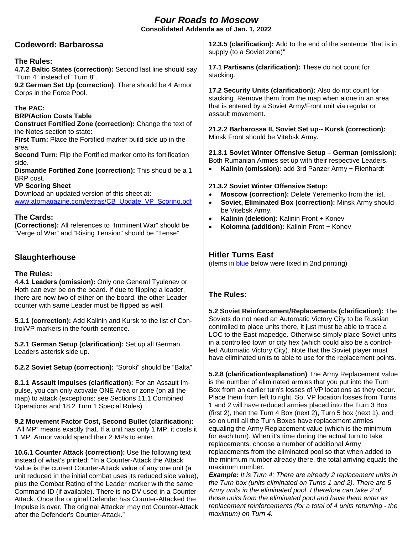# *Four Roads to Moscow*

**Consolidated Addenda as of Jan. 1, 2022**

# **Codeword: Barbarossa**

## **The Rules:**

**4.7.2 Baltic States (correction):** Second last line should say "Turn 4" instead of "Turn 8".

**9.2 German Set Up (correction)**: There should be 4 Armor Corps in the Force Pool.

## **The PAC:**

### **BRP/Action Costs Table**

**Construct Fortified Zone (correction):** Change the text of the Notes section to state:

**First Turn:** Place the Fortified marker build side up in the area.

**Second Turn: Flip the Fortified marker onto its fortification** side.

**Dismantle Fortified Zone (correction):** This should be a 1 BRP cost.

### **VP Scoring Sheet**

Download an updated version of this sheet at: [www.atomagazine.com/extras/CB\\_Update\\_VP\\_Scoring.pdf](http://www.atomagazine.com/extras/CB_Update_VP_Scoring.pdf)

# **The Cards:**

**(Corrections):** All references to "Imminent War" should be "Verge of War" and "Rising Tension" should be "Tense".

# **Slaughterhouse**

## **The Rules:**

**4.4.1 Leaders (omission):** Only one General Tyulenev or Hoth can ever be on the board. If due to flipping a leader, there are now two of either on the board, the other Leader counter with same Leader must be flipped as well.

**5.1.1 (correction):** Add Kalinin and Kursk to the list of Control/VP markers in the fourth sentence.

**5.2.1 German Setup (clarification):** Set up all German Leaders asterisk side up.

**5.2.2 Soviet Setup (correction):** "Soroki" should be "Balta".

**8.1.1 Assault Impulses (clarification):** For an Assault Impulse, you can only activate ONE Area or zone (on all the map) to attack (exceptions: see Sections 11.1 Combined Operations and 18.2 Turn 1 Special Rules).

**9.2 Movement Factor Cost, Second Bullet (clarification**)**:** "All MP" means exactly that. If a unit has only 1 MP, it costs it 1 MP. Armor would spend their 2 MPs to enter.

**10.6.1 Counter Attack (correction):** Use the following text instead of what's printed: "In a Counter-Attack the Attack Value is the current Counter-Attack value of any one unit (a unit reduced in the initial combat uses its reduced side value), plus the Combat Rating of the Leader marker with the same Command ID (if available). There is no DV used in a Counter-Attack. Once the original Defender has Counter-Attacked the Impulse is over. The original Attacker may not Counter-Attack after the Defender's Counter-Attack."

**12.3.5 (clarification):** Add to the end of the sentence "that is in supply (to a Soviet zone)"

**17.1 Partisans (clarification):** These do not count for stacking.

**17.2 Security Units (clarification):** Also do not count for stacking. Remove them from the map when alone in an area that is entered by a Soviet Army/Front unit via regular or assault movement.

**21.2.2 Barbarossa II, Soviet Set up-- Kursk (correction):**  Minsk Front should be Vitebsk Army.

**21.3.1 Soviet Winter Offensive Setup – German (omission):** Both Rumanian Armies set up with their respective Leaders.

• **Kalinin (omission):** add 3rd Panzer Army + Rienhardt

### **21.3.2 Soviet Winter Offensive Setup:**

- **Moscow (correction):** Delete Yeremenko from the list.
- **Soviet, Eliminated Box (correction):** Minsk Army should be Vitebsk Army.
- **Kalinin (deletion):** Kalinin Front + Konev
- **Kolomna (addition):** Kalinin Front + Konev

# **Hitler Turns East**

(items in blue below were fixed in 2nd printing)

## **The Rules:**

**5.2 Soviet Reinforcement/Replacements (clarification):** The Soviets do not need an Automatic Victory City to be Russian controlled to place units there, it just must be able to trace a LOC to the East mapedge. Otherwise simply place Soviet units in a controlled town or city hex (which could also be a controlled Automatic Victory City). Note that the Soviet player must have eliminated units to able to use for the replacement points.

**5.2.8 (clarification/explanation)** The Army Replacement value is the number of eliminated armies that you put into the Turn Box from an earlier turn's losses of VP locations as they occur. Place them from left to right. So, VP location losses from Turns 1 and 2 will have reduced armies placed into the Turn 3 Box (first 2), then the Turn 4 Box (next 2), Turn 5 box (next 1), and so on until all the Turn Boxes have replacement armies equaling the Army Replacement value (which is the minimum for each turn). When it's time during the actual turn to take replacements, choose a number of additional Army replacements from the eliminated pool so that when added to the minimum number already there, the total arriving equals the maximum number.

*Example: It is Turn 4: There are already 2 replacement units in the Turn box (units eliminated on Turns 1 and 2). There are 5 Army units in the eliminated pool. I therefore can take 2 of those units from the eliminated pool and have them enter as replacement reinforcements (for a total of 4 units returning - the maximum) on Turn 4.*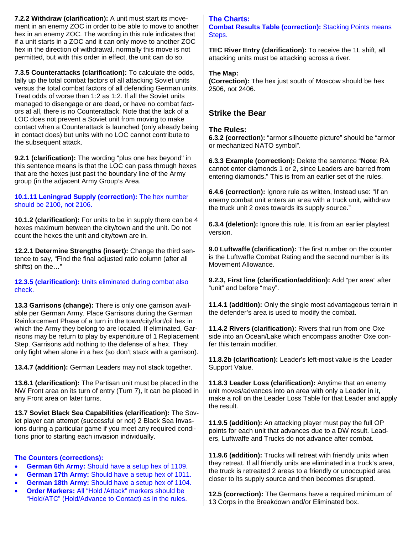**7.2.2 Withdraw (clarification):** A unit must start its movement in an enemy ZOC in order to be able to move to another hex in an enemy ZOC. The wording in this rule indicates that if a unit starts in a ZOC and it can only move to another ZOC hex in the direction of withdrawal, normally this move is not permitted, but with this order in effect, the unit can do so.

**7.3.5 Counterattacks (clarification):** To calculate the odds, tally up the total combat factors of all attacking Soviet units versus the total combat factors of all defending German units. Treat odds of worse than 1:2 as 1:2. If all the Soviet units managed to disengage or are dead, or have no combat factors at all, there is no Counterattack. Note that the lack of a LOC does not prevent a Soviet unit from moving to make contact when a Counterattack is launched (only already being in contact does) but units with no LOC cannot contribute to the subsequent attack.

**9.2.1 (clarification):** The wording "plus one hex beyond" in this sentence means is that the LOC can pass through hexes that are the hexes just past the boundary line of the Army group (in the adjacent Army Group's Area.

### **10.1.11 Leningrad Supply (correction):** The hex number should be 2100, not 2106.

**10.1.2 (clarification):** For units to be in supply there can be 4 hexes maximum between the city/town and the unit. Do not count the hexes the unit and city/town are in.

**12.2.1 Determine Strengths (insert):** Change the third sentence to say, "Find the final adjusted ratio column (after all shifts) on the…"

**12.3.5 (clarification):** Units eliminated during combat also check.

**13.3 Garrisons (change):** There is only one garrison available per German Army. Place Garrisons during the German Reinforcement Phase of a turn in the town/city/fort/oil hex in which the Army they belong to are located. If eliminated, Garrisons may be return to play by expenditure of 1 Replacement Step. Garrisons add nothing to the defense of a hex. They only fight when alone in a hex (so don't stack with a garrison).

**13.4.7 (addition):** German Leaders may not stack together.

**13.6.1 (clarification):** The Partisan unit must be placed in the NW Front area on its turn of entry (Turn 7), It can be placed in any Front area on later turns.

**13.7 Soviet Black Sea Capabilities (clarification):** The Soviet player can attempt (successful or not) 2 Black Sea Invasions during a particular game if you meet any required conditions prior to starting each invasion individually.

### **The Counters (corrections):**

- **German 6th Army:** Should have a setup hex of 1109.
- **German 17th Army:** Should have a setup hex of 1011.
- **German 18th Army:** Should have a setup hex of 1104.
- **Order Markers:** All "Hold /Attack" markers should be "Hold/ATC" (Hold/Advance to Contact) as in the rules.

## **The Charts:**

**Combat Results Table (correction):** Stacking Points means Steps.

**TEC River Entry (clarification):** To receive the 1L shift, all attacking units must be attacking across a river.

### **The Map:**

**(Correction):** The hex just south of Moscow should be hex 2506, not 2406.

# **Strike the Bear**

### **The Rules:**

**6.3.2 (correction):** "armor silhouette picture" should be "armor or mechanized NATO symbol".

**6.3.3 Example (correction):** Delete the sentence "**Note**: RA cannot enter diamonds 1 or 2, since Leaders are barred from entering diamonds." This is from an earlier set of the rules.

**6.4.6 (correction):** Ignore rule as written, Instead use: "If an enemy combat unit enters an area with a truck unit, withdraw the truck unit 2 oxes towards its supply source."

**6.3.4 (deletion):** Ignore this rule. It is from an earlier playtest version.

**9.0 Luftwaffe (clarification):** The first number on the counter is the Luftwaffe Combat Rating and the second number is its Movement Allowance.

**9.2.3, First line (clarification/addition):** Add "per area" after "unit" and before "may".

**11.4.1 (addition):** Only the single most advantageous terrain in the defender's area is used to modify the combat.

**11.4.2 Rivers (clarification):** Rivers that run from one Oxe side into an Ocean/Lake which encompass another Oxe confer this terrain modifier.

**11.8.2b (clarification):** Leader's left-most value is the Leader Support Value.

**11.8.3 Leader Loss (clarification):** Anytime that an enemy unit moves/advances into an area with only a Leader in it, make a roll on the Leader Loss Table for that Leader and apply the result.

**11.9.5 (addition):** An attacking player must pay the full OP points for each unit that advances due to a DW result. Leaders, Luftwaffe and Trucks do not advance after combat.

**11.9.6 (addition):** Trucks will retreat with friendly units when they retreat. If all friendly units are eliminated in a truck's area, the truck is retreated 2 areas to a friendly or unoccupied area closer to its supply source and then becomes disrupted.

**12.5 (correction):** The Germans have a required minimum of 13 Corps in the Breakdown and/or Eliminated box.